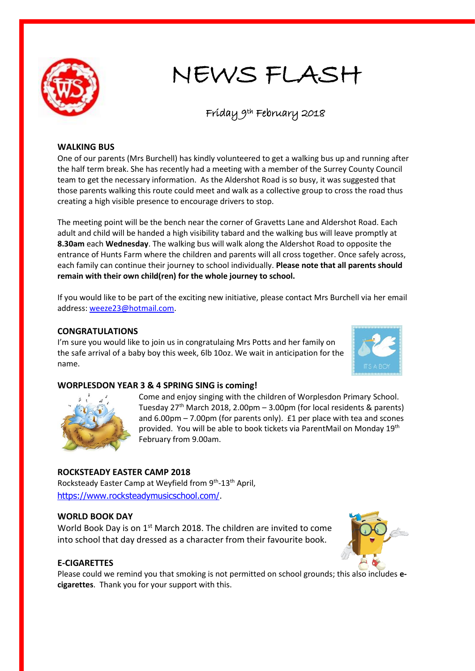

# NEWS FLASH

# Friday 9th February 2018

#### **WALKING BUS**

One of our parents (Mrs Burchell) has kindly volunteered to get a walking bus up and running after the half term break. She has recently had a meeting with a member of the Surrey County Council team to get the necessary information. As the Aldershot Road is so busy, it was suggested that those parents walking this route could meet and walk as a collective group to cross the road thus creating a high visible presence to encourage drivers to stop.

The meeting point will be the bench near the corner of Gravetts Lane and Aldershot Road. Each adult and child will be handed a high visibility tabard and the walking bus will leave promptly at **8.30am** each **Wednesday**. The walking bus will walk along the Aldershot Road to opposite the entrance of Hunts Farm where the children and parents will all cross together. Once safely across, each family can continue their journey to school individually. **Please note that all parents should remain with their own child(ren) for the whole journey to school.**

If you would like to be part of the exciting new initiative, please contact Mrs Burchell via her email address: [weeze23@hotmail.com.](mailto:weeze23@hotmail.com)

# **CONGRATULATIONS**

I'm sure you would like to join us in congratulaing Mrs Potts and her family on the safe arrival of a baby boy this week, 6lb 10oz. We wait in anticipation for the name.



#### **WORPLESDON YEAR 3 & 4 SPRING SING is coming!**



Come and enjoy singing with the children of Worplesdon Primary School. Tuesday  $27<sup>th</sup>$  March 2018, 2.00pm – 3.00pm (for local residents & parents) and  $6.00 \text{pm} - 7.00 \text{pm}$  (for parents only).  $E1$  per place with tea and scones provided. You will be able to book tickets via ParentMail on Monday 19<sup>th</sup> February from 9.00am.

# **ROCKSTEADY EASTER CAMP 2018**

Rocksteady Easter Camp at Weyfield from 9<sup>th</sup>-13<sup>th</sup> April, [https://www.rocksteadymusicschool.com/.](https://www.rocksteadymusicschool.com/)

#### **WORLD BOOK DAY**

World Book Day is on 1<sup>st</sup> March 2018. The children are invited to come into school that day dressed as a character from their favourite book.

# **E-CIGARETTES**

Please could we remind you that smoking is not permitted on school grounds; this also includes **ecigarettes**. Thank you for your support with this.

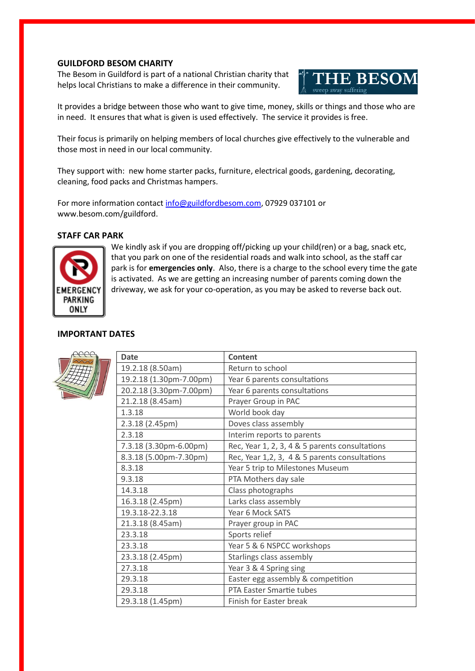#### **GUILDFORD BESOM CHARITY**

The Besom in Guildford is part of a national Christian charity that helps local Christians to make a difference in their community.



It provides a bridge between those who want to give time, money, skills or things and those who are in need. It ensures that what is given is used effectively. The service it provides is free.

Their focus is primarily on helping members of local churches give effectively to the vulnerable and those most in need in our local community.

They support with: new home starter packs, furniture, electrical goods, gardening, decorating, cleaning, food packs and Christmas hampers.

For more information contact [info@guildfordbesom.com,](mailto:info@guildfordbesom.com) 07929 037101 or www.besom.com/guildford.

### **STAFF CAR PARK**



We kindly ask if you are dropping off/picking up your child(ren) or a bag, snack etc, that you park on one of the residential roads and walk into school, as the staff car park is for **emergencies only**. Also, there is a charge to the school every time the gate is activated. As we are getting an increasing number of parents coming down the driveway, we ask for your co-operation, as you may be asked to reverse back out.

# **IMPORTANT DATES**



| <b>Date</b>             | <b>Content</b>                                 |
|-------------------------|------------------------------------------------|
| 19.2.18 (8.50am)        | Return to school                               |
| 19.2.18 (1.30pm-7.00pm) | Year 6 parents consultations                   |
| 20.2.18 (3.30pm-7.00pm) | Year 6 parents consultations                   |
| 21.2.18 (8.45am)        | Prayer Group in PAC                            |
| 1.3.18                  | World book day                                 |
| 2.3.18 (2.45pm)         | Doves class assembly                           |
| 2.3.18                  | Interim reports to parents                     |
| 7.3.18 (3.30pm-6.00pm)  | Rec, Year 1, 2, 3, 4 & 5 parents consultations |
| 8.3.18 (5.00pm-7.30pm)  | Rec, Year 1,2, 3, 4 & 5 parents consultations  |
| 8.3.18                  | Year 5 trip to Milestones Museum               |
| 9.3.18                  | PTA Mothers day sale                           |
| 14.3.18                 | Class photographs                              |
| 16.3.18 (2.45pm)        | Larks class assembly                           |
| 19.3.18-22.3.18         | Year 6 Mock SATS                               |
| 21.3.18 (8.45am)        | Prayer group in PAC                            |
| 23.3.18                 | Sports relief                                  |
| 23.3.18                 | Year 5 & 6 NSPCC workshops                     |
| 23.3.18 (2.45pm)        | Starlings class assembly                       |
| 27.3.18                 | Year 3 & 4 Spring sing                         |
| 29.3.18                 | Easter egg assembly & competition              |
| 29.3.18                 | PTA Easter Smartie tubes                       |
| 29.3.18 (1.45pm)        | Finish for Easter break                        |